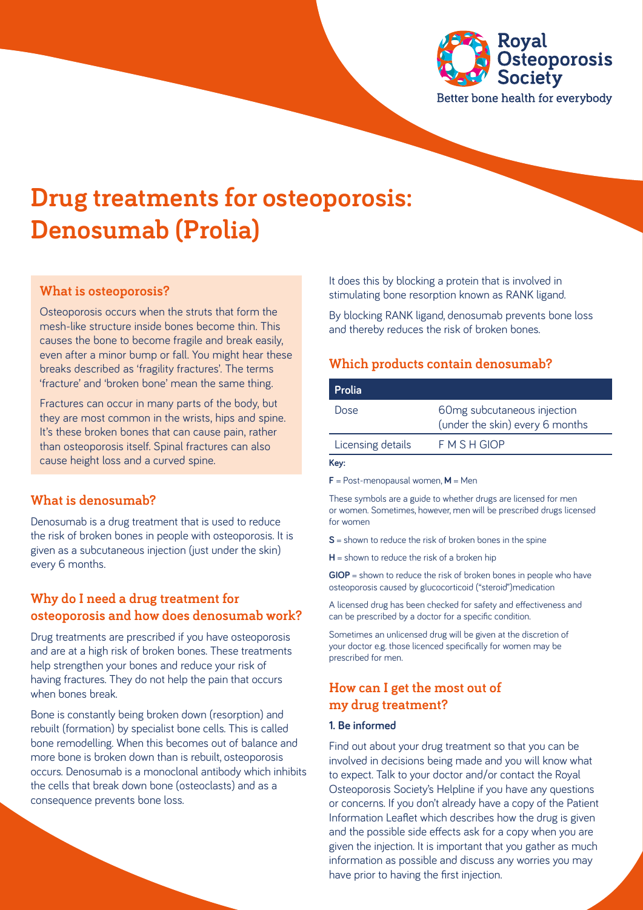

# **Drug treatments for osteoporosis: Denosumab (Prolia)**

## **What is osteoporosis?**

Osteoporosis occurs when the struts that form the mesh-like structure inside bones become thin. This causes the bone to become fragile and break easily, even after a minor bump or fall. You might hear these breaks described as 'fragility fractures'. The terms 'fracture' and 'broken bone' mean the same thing.

Fractures can occur in many parts of the body, but they are most common in the wrists, hips and spine. It's these broken bones that can cause pain, rather than osteoporosis itself. Spinal fractures can also cause height loss and a curved spine.

#### **What is denosumab?**

Denosumab is a drug treatment that is used to reduce the risk of broken bones in people with osteoporosis. It is given as a subcutaneous injection (just under the skin) every 6 months.

## **Why do I need a drug treatment for osteoporosis and how does denosumab work?**

Drug treatments are prescribed if you have osteoporosis and are at a high risk of broken bones. These treatments help strengthen your bones and reduce your risk of having fractures. They do not help the pain that occurs when bones break.

Bone is constantly being broken down (resorption) and rebuilt (formation) by specialist bone cells. This is called bone remodelling. When this becomes out of balance and more bone is broken down than is rebuilt, osteoporosis occurs. Denosumab is a monoclonal antibody which inhibits the cells that break down bone (osteoclasts) and as a consequence prevents bone loss.

It does this by blocking a protein that is involved in stimulating bone resorption known as RANK ligand.

By blocking RANK ligand, denosumab prevents bone loss and thereby reduces the risk of broken bones.

#### **Which products contain denosumab?**

| <b>Prolia</b>     |                                                                |
|-------------------|----------------------------------------------------------------|
| Dose              | 60mg subcutaneous injection<br>(under the skin) every 6 months |
| Licensing details | F M S H GIOP                                                   |

**Key:**

**F** = Post-menopausal women, **M** = Men

These symbols are a guide to whether drugs are licensed for men or women. Sometimes, however, men will be prescribed drugs licensed for women

**S** = shown to reduce the risk of broken bones in the spine

**H** = shown to reduce the risk of a broken hip

**GIOP** = shown to reduce the risk of broken bones in people who have osteoporosis caused by glucocorticoid ("steroid")medication

A licensed drug has been checked for safety and effectiveness and can be prescribed by a doctor for a specific condition.

Sometimes an unlicensed drug will be given at the discretion of your doctor e.g. those licenced specifically for women may be prescribed for men.

## **How can I get the most out of my drug treatment?**

#### **1. Be informed**

Find out about your drug treatment so that you can be involved in decisions being made and you will know what to expect. Talk to your doctor and/or contact the Royal Osteoporosis Society's Helpline if you have any questions or concerns. If you don't already have a copy of the Patient Information Leaflet which describes how the drug is given and the possible side effects ask for a copy when you are given the injection. It is important that you gather as much information as possible and discuss any worries you may have prior to having the first injection.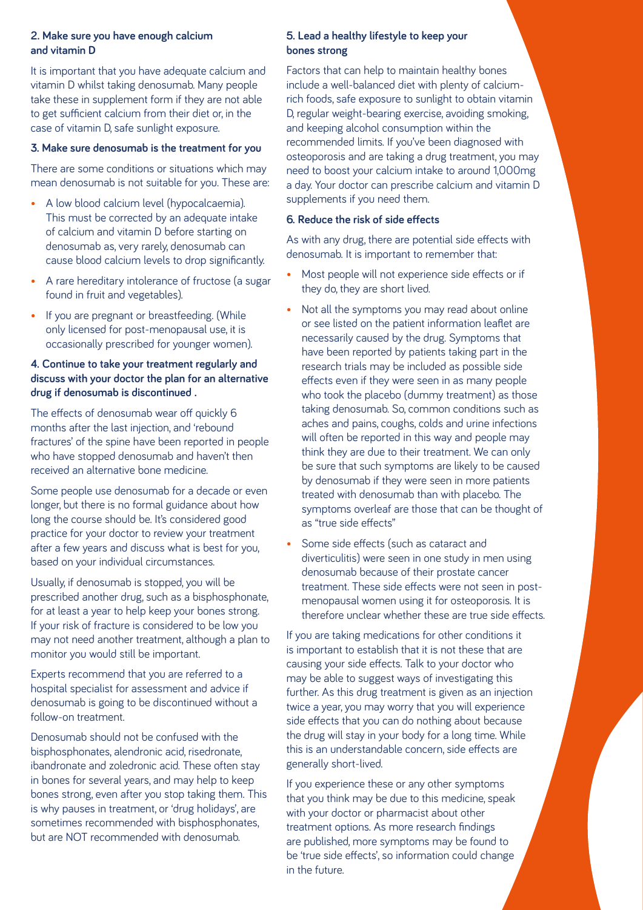#### **2. Make sure you have enough calcium and vitamin D**

It is important that you have adequate calcium and vitamin D whilst taking denosumab. Many people take these in supplement form if they are not able to get sufficient calcium from their diet or, in the case of vitamin D, safe sunlight exposure.

#### **3. Make sure denosumab is the treatment for you**

There are some conditions or situations which may mean denosumab is not suitable for you. These are:

- A low blood calcium level (hypocalcaemia). This must be corrected by an adequate intake of calcium and vitamin D before starting on denosumab as, very rarely, denosumab can cause blood calcium levels to drop significantly.
- A rare hereditary intolerance of fructose (a sugar found in fruit and vegetables).
- If you are pregnant or breastfeeding. (While only licensed for post-menopausal use, it is occasionally prescribed for younger women).

#### **4. Continue to take your treatment regularly and discuss with your doctor the plan for an alternative drug if denosumab is discontinued .**

The effects of denosumab wear off quickly 6 months after the last injection, and 'rebound fractures' of the spine have been reported in people who have stopped denosumab and haven't then received an alternative bone medicine.

Some people use denosumab for a decade or even longer, but there is no formal guidance about how long the course should be. It's considered good practice for your doctor to review your treatment after a few years and discuss what is best for you, based on your individual circumstances.

Usually, if denosumab is stopped, you will be prescribed another drug, such as a bisphosphonate, for at least a year to help keep your bones strong. If your risk of fracture is considered to be low you may not need another treatment, although a plan to monitor you would still be important.

Experts recommend that you are referred to a hospital specialist for assessment and advice if denosumab is going to be discontinued without a follow-on treatment.

Denosumab should not be confused with the bisphosphonates, alendronic acid, risedronate, ibandronate and zoledronic acid. These often stay in bones for several years, and may help to keep bones strong, even after you stop taking them. This is why pauses in treatment, or 'drug holidays', are sometimes recommended with bisphosphonates, but are NOT recommended with denosumab.

#### **5. Lead a healthy lifestyle to keep your bones strong**

Factors that can help to maintain healthy bones include a well-balanced diet with plenty of calciumrich foods, safe exposure to sunlight to obtain vitamin D, regular weight-bearing exercise, avoiding smoking, and keeping alcohol consumption within the recommended limits. If you've been diagnosed with osteoporosis and are taking a drug treatment, you may need to boost your calcium intake to around 1,000mg a day. Your doctor can prescribe calcium and vitamin D supplements if you need them.

#### **6. Reduce the risk of side effects**

As with any drug, there are potential side effects with denosumab. It is important to remember that:

- Most people will not experience side effects or if they do, they are short lived.
- Not all the symptoms you may read about online or see listed on the patient information leaflet are necessarily caused by the drug. Symptoms that have been reported by patients taking part in the research trials may be included as possible side effects even if they were seen in as many people who took the placebo (dummy treatment) as those taking denosumab. So, common conditions such as aches and pains, coughs, colds and urine infections will often be reported in this way and people may think they are due to their treatment. We can only be sure that such symptoms are likely to be caused by denosumab if they were seen in more patients treated with denosumab than with placebo. The symptoms overleaf are those that can be thought of as "true side effects"
- Some side effects (such as cataract and diverticulitis) were seen in one study in men using denosumab because of their prostate cancer treatment. These side effects were not seen in postmenopausal women using it for osteoporosis. It is therefore unclear whether these are true side effects.

If you are taking medications for other conditions it is important to establish that it is not these that are causing your side effects. Talk to your doctor who may be able to suggest ways of investigating this further. As this drug treatment is given as an injection twice a year, you may worry that you will experience side effects that you can do nothing about because the drug will stay in your body for a long time. While this is an understandable concern, side effects are generally short-lived.

If you experience these or any other symptoms that you think may be due to this medicine, speak with your doctor or pharmacist about other treatment options. As more research findings are published, more symptoms may be found to be 'true side effects', so information could change in the future.